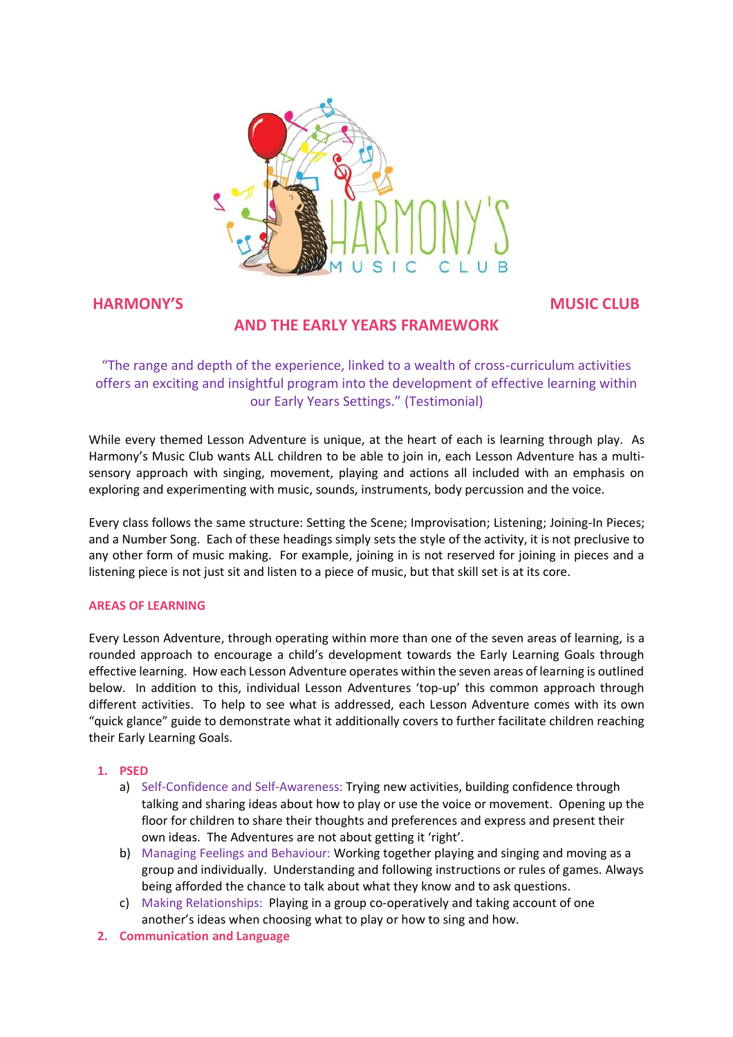

# **HARMONY'S MUSIC CLUB**

# **AND THE EARLY YEARS FRAMEWORK**

"The range and depth of the experience, linked to a wealth of cross-curriculum activities offers an exciting and insightful program into the development of effective learning within our Early Years Settings." (Testimonial)

While every themed Lesson Adventure is unique, at the heart of each is learning through play. As Harmony's Music Club wants ALL children to be able to join in, each Lesson Adventure has a multisensory approach with singing, movement, playing and actions all included with an emphasis on exploring and experimenting with music, sounds, instruments, body percussion and the voice.

Every class follows the same structure: Setting the Scene; Improvisation; Listening; Joining-In Pieces; and a Number Song. Each of these headings simply sets the style of the activity, it is not preclusive to any other form of music making. For example, joining in is not reserved for joining in pieces and a listening piece is not just sit and listen to a piece of music, but that skill set is at its core.

#### **AREAS OF LEARNING**

Every Lesson Adventure, through operating within more than one of the seven areas of learning, is a rounded approach to encourage a child's development towards the Early Learning Goals through effective learning. How each Lesson Adventure operates within the seven areas of learning is outlined below. In addition to this, individual Lesson Adventures 'top-up' this common approach through different activities. To help to see what is addressed, each Lesson Adventure comes with its own "quick glance" guide to demonstrate what it additionally covers to further facilitate children reaching their Early Learning Goals.

#### **1. PSED**

- a) Self-Confidence and Self-Awareness: Trying new activities, building confidence through talking and sharing ideas about how to play or use the voice or movement. Opening up the floor for children to share their thoughts and preferences and express and present their own ideas. The Adventures are not about getting it 'right'.
- b) Managing Feelings and Behaviour: Working together playing and singing and moving as a group and individually. Understanding and following instructions or rules of games. Always being afforded the chance to talk about what they know and to ask questions.
- c) Making Relationships: Playing in a group co-operatively and taking account of one another's ideas when choosing what to play or how to sing and how.
- **2. Communication and Language**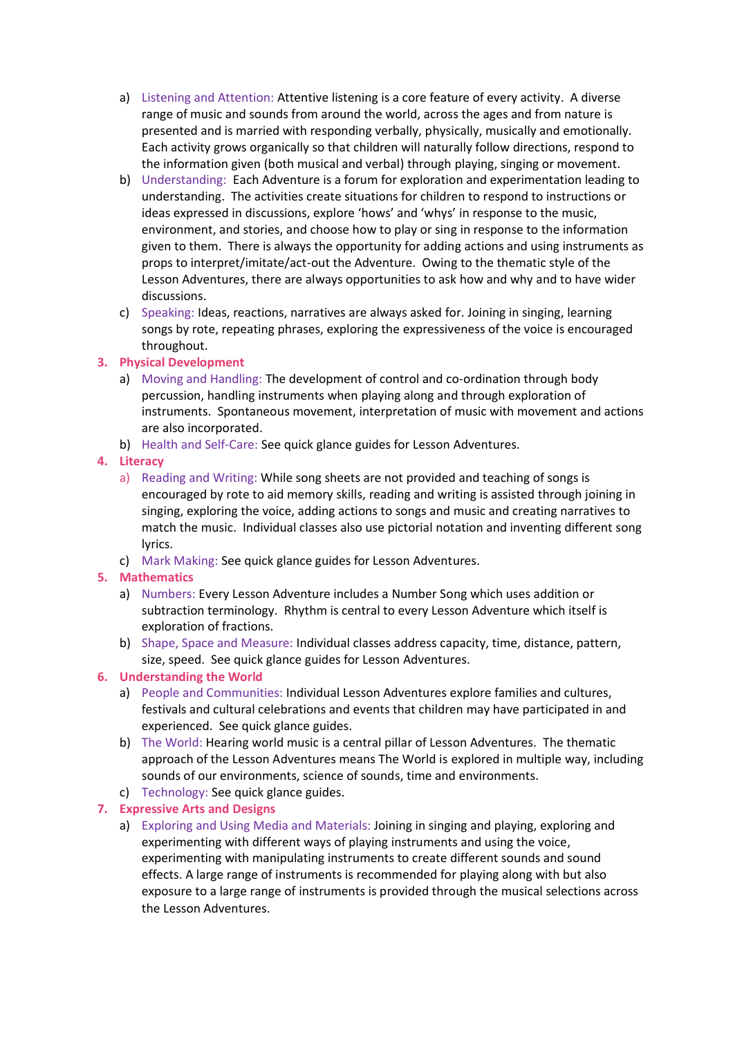- a) Listening and Attention: Attentive listening is a core feature of every activity. A diverse range of music and sounds from around the world, across the ages and from nature is presented and is married with responding verbally, physically, musically and emotionally. Each activity grows organically so that children will naturally follow directions, respond to the information given (both musical and verbal) through playing, singing or movement.
- b) Understanding: Each Adventure is a forum for exploration and experimentation leading to understanding. The activities create situations for children to respond to instructions or ideas expressed in discussions, explore 'hows' and 'whys' in response to the music, environment, and stories, and choose how to play or sing in response to the information given to them. There is always the opportunity for adding actions and using instruments as props to interpret/imitate/act-out the Adventure. Owing to the thematic style of the Lesson Adventures, there are always opportunities to ask how and why and to have wider discussions.
- c) Speaking: Ideas, reactions, narratives are always asked for. Joining in singing, learning songs by rote, repeating phrases, exploring the expressiveness of the voice is encouraged throughout.
- **3. Physical Development**
	- a) Moving and Handling: The development of control and co-ordination through body percussion, handling instruments when playing along and through exploration of instruments. Spontaneous movement, interpretation of music with movement and actions are also incorporated.
	- b) Health and Self-Care: See quick glance guides for Lesson Adventures.

### **4. Literacy**

- a) Reading and Writing: While song sheets are not provided and teaching of songs is encouraged by rote to aid memory skills, reading and writing is assisted through joining in singing, exploring the voice, adding actions to songs and music and creating narratives to match the music. Individual classes also use pictorial notation and inventing different song lyrics.
- c) Mark Making: See quick glance guides for Lesson Adventures.
- **5. Mathematics**
	- a) Numbers: Every Lesson Adventure includes a Number Song which uses addition or subtraction terminology. Rhythm is central to every Lesson Adventure which itself is exploration of fractions.
	- b) Shape, Space and Measure: Individual classes address capacity, time, distance, pattern, size, speed. See quick glance guides for Lesson Adventures.

# **6. Understanding the World**

- a) People and Communities: Individual Lesson Adventures explore families and cultures, festivals and cultural celebrations and events that children may have participated in and experienced. See quick glance guides.
- b) The World: Hearing world music is a central pillar of Lesson Adventures. The thematic approach of the Lesson Adventures means The World is explored in multiple way, including sounds of our environments, science of sounds, time and environments.
- c) Technology: See quick glance guides.

# **7. Expressive Arts and Designs**

a) Exploring and Using Media and Materials: Joining in singing and playing, exploring and experimenting with different ways of playing instruments and using the voice, experimenting with manipulating instruments to create different sounds and sound effects. A large range of instruments is recommended for playing along with but also exposure to a large range of instruments is provided through the musical selections across the Lesson Adventures.